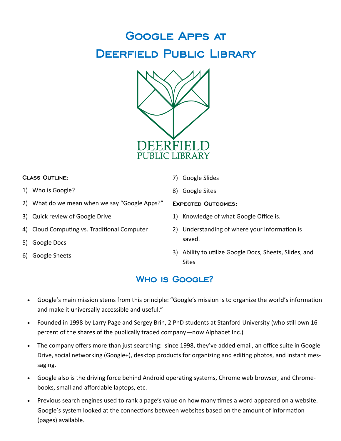# Google Apps at DEERFIELD PUBLIC LIBRARY



#### Class Outline:

- 1) Who is Google?
- 2) What do we mean when we say "Google Apps?"
- 3) Quick review of Google Drive
- 4) Cloud Computing vs. Traditional Computer
- 5) Google Docs
- 6) Google Sheets
- 7) Google Slides
- 8) Google Sites

#### Expected Outcomes:

- 1) Knowledge of what Google Office is.
- 2) Understanding of where your information is saved.
- 3) Ability to utilize Google Docs, Sheets, Slides, and Sites

## WHO IS GOOGLE?

- Google's main mission stems from this principle: "Google's mission is to organize the world's information and make it universally accessible and useful."
- Founded in 1998 by Larry Page and Sergey Brin, 2 PhD students at Stanford University (who still own 16 percent of the shares of the publically traded company—now Alphabet Inc.)
- The company offers more than just searching: since 1998, they've added email, an office suite in Google Drive, social networking (Google+), desktop products for organizing and editing photos, and instant messaging.
- Google also is the driving force behind Android operating systems, Chrome web browser, and Chromebooks, small and affordable laptops, etc.
- Previous search engines used to rank a page's value on how many times a word appeared on a website. Google's system looked at the connections between websites based on the amount of information (pages) available.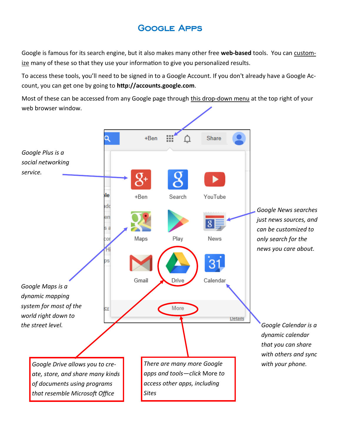## Google Apps

Google is famous for its search engine, but it also makes many other free **web-based** tools. You can customize many of these so that they use your information to give you personalized results.

To access these tools, you'll need to be signed in to a Google Account. If you don't already have a Google Account, you can get one by going to **http://accounts.google.com**.

Most of these can be accessed from any Google page through this drop-down menu at the top right of your web browser window.

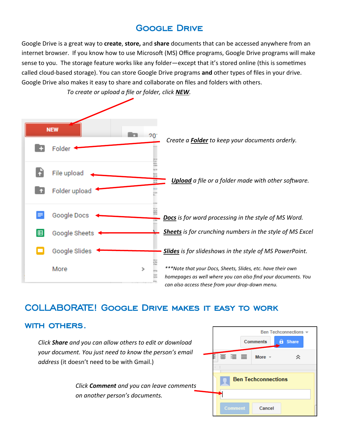## Google Drive

Google Drive is a great way to **create**, **store,** and **share** documents that can be accessed anywhere from an internet browser. If you know how to use Microsoft (MS) Office programs, Google Drive programs will make sense to you. The storage feature works like any folder—except that it's stored online (this is sometimes called cloud-based storage). You can store Google Drive programs **and** other types of files in your drive. Google Drive also makes it easy to share and collaborate on files and folders with others.



*To create or upload a file or folder, click NEW.*

### COLLABORATE! Google Drive makes it easy to work

### with others.

*Click Share and you can allow others to edit or download your document. You just need to know the person's email address* (it doesn't need to be with Gmail.)

> *Click Comment and you can leave comments on another person's documents.*

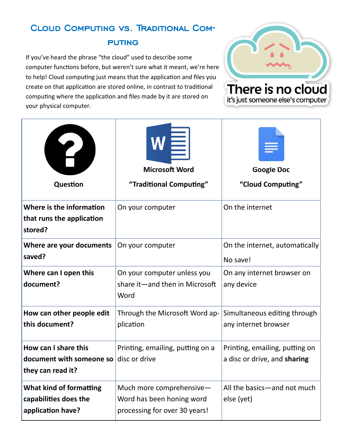## Cloud Computing vs. Traditional Com-**PUTING**

If you've heard the phrase "the cloud" used to describe some computer functions before, but weren't sure what it meant, we're here to help! Cloud computing just means that the application and files you create on that application are stored online, in contrast to traditional computing where the application and files made by it are stored on your physical computer.



it's just someone else's computer

| Question                                                                            | $\mathsf{w}\equiv$<br><b>Microsoft Word</b><br>"Traditional Computing"                 | <b>Google Doc</b><br>"Cloud Computing"                         |
|-------------------------------------------------------------------------------------|----------------------------------------------------------------------------------------|----------------------------------------------------------------|
| Where is the information<br>that runs the application<br>stored?                    | On your computer                                                                       | On the internet                                                |
| Where are your documents<br>saved?                                                  | On your computer                                                                       | On the internet, automatically<br>No save!                     |
| Where can I open this<br>document?                                                  | On your computer unless you<br>share it-and then in Microsoft<br>Word                  | On any internet browser on<br>any device                       |
| How can other people edit<br>this document?                                         | Through the Microsoft Word ap-<br>plication                                            | Simultaneous editing through<br>any internet browser           |
| How can I share this<br>document with someone so disc or drive<br>they can read it? | Printing, emailing, putting on a                                                       | Printing, emailing, putting on<br>a disc or drive, and sharing |
| What kind of formatting<br>capabilities does the<br>application have?               | Much more comprehensive-<br>Word has been honing word<br>processing for over 30 years! | All the basics-and not much<br>else (yet)                      |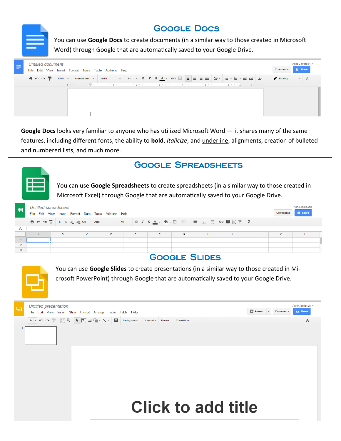## Google Docs

You can use **Google Docs** to create documents (in a similar way to those created in Microsoft Word) through Google that are automatically saved to your Google Drive.



**Google Docs** looks very familiar to anyone who has utilized Microsoft Word — it shares many of the same features, including different fonts, the ability to **bold**, *italicize*, and underline, alignments, creation of bulleted and numbered lists, and much more.

### Google Spreadsheets



You can use **Google Spreadsheets** to create spreadsheets (in a similar way to those created in Microsoft Excel) through Google that are automatically saved to your Google Drive.

| E            | <b>Untitled spreadsheet</b><br>File Edit View Insert Format Data Tools Add-ons Help |   |              |   |    |    |   |   | <b>Comments</b> | Anne Jamieson<br><b>A</b> Share |  |
|--------------|-------------------------------------------------------------------------------------|---|--------------|---|----|----|---|---|-----------------|---------------------------------|--|
|              |                                                                                     |   |              |   |    |    |   |   |                 |                                 |  |
| $f_{\times}$ |                                                                                     |   |              |   |    |    |   |   |                 |                                 |  |
|              |                                                                                     | B | $\mathbf{C}$ | D | E. | F. | G | H |                 | K                               |  |
|              |                                                                                     |   |              |   |    |    |   |   |                 |                                 |  |
|              |                                                                                     |   |              |   |    |    |   |   |                 |                                 |  |
|              |                                                                                     |   |              |   |    |    |   |   |                 |                                 |  |

### Google Slides



You can use **Google Slides** to create presentations (in a similar way to those created in Microsoft PowerPoint) through Google that are automatically saved to your Google Drive.

| <b>Untitled presentation</b><br>e<br>File Edit View Insert Slide Format Arrange Tools Table Help |  | $\triangleright$ Present  | Anne Jamieson -<br><b>a</b> Share<br><b>Comments</b> |   |
|--------------------------------------------------------------------------------------------------|--|---------------------------|------------------------------------------------------|---|
|                                                                                                  |  | Transition                |                                                      | 仌 |
|                                                                                                  |  |                           |                                                      |   |
|                                                                                                  |  | <b>Click to add title</b> |                                                      |   |